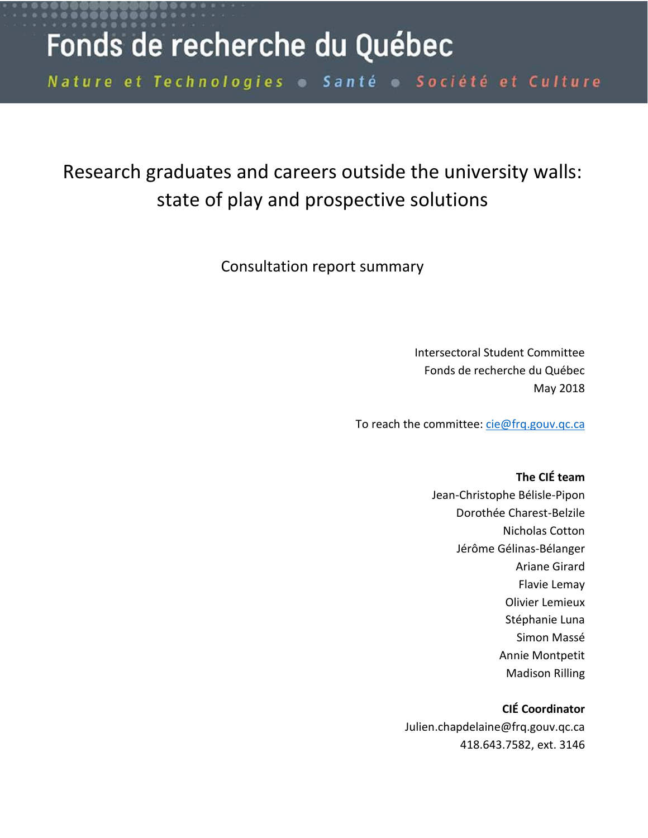# Fonds de recherche du Québec

Nature et Technologies Santé o Société et Culture

# Research graduates and careers outside the university walls: state of play and prospective solutions

Consultation report summary

Intersectoral Student Committee Fonds de recherche du Québec May 2018

To reach the committee: [cie@frq.gouv.qc.ca](mailto:cie@frq.gouv.qc.ca)

# **The CIÉ team** Jean-Christophe Bélisle-Pipon

Dorothée Charest-Belzile Nicholas Cotton Jérôme Gélinas-Bélanger Ariane Girard Flavie Lemay Olivier Lemieux Stéphanie Luna Simon Massé Annie Montpetit Madison Rilling

### **CIÉ Coordinator**

Julien.chapdelaine@frq.gouv.qc.ca 418.643.7582, ext. 3146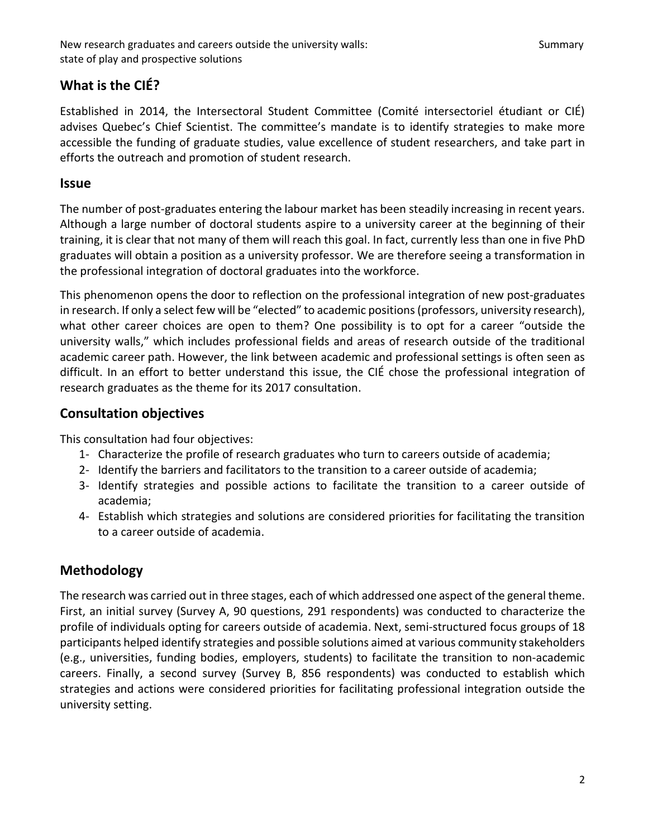# **What is the CIÉ?**

Established in 2014, the Intersectoral Student Committee (Comité intersectoriel étudiant or CIÉ) advises Quebec's Chief Scientist. The committee's mandate is to identify strategies to make more accessible the funding of graduate studies, value excellence of student researchers, and take part in efforts the outreach and promotion of student research.

#### **Issue**

The number of post-graduates entering the labour market has been steadily increasing in recent years. Although a large number of doctoral students aspire to a university career at the beginning of their training, it is clear that not many of them will reach this goal. In fact, currently less than one in five PhD graduates will obtain a position as a university professor. We are therefore seeing a transformation in the professional integration of doctoral graduates into the workforce.

This phenomenon opens the door to reflection on the professional integration of new post-graduates in research. If only a select few will be "elected" to academic positions(professors, university research), what other career choices are open to them? One possibility is to opt for a career "outside the university walls," which includes professional fields and areas of research outside of the traditional academic career path. However, the link between academic and professional settings is often seen as difficult. In an effort to better understand this issue, the CIÉ chose the professional integration of research graduates as the theme for its 2017 consultation.

### **Consultation objectives**

This consultation had four objectives:

- 1- Characterize the profile of research graduates who turn to careers outside of academia;
- 2- Identify the barriers and facilitators to the transition to a career outside of academia;
- 3- Identify strategies and possible actions to facilitate the transition to a career outside of academia;
- 4- Establish which strategies and solutions are considered priorities for facilitating the transition to a career outside of academia.

# **Methodology**

The research was carried out in three stages, each of which addressed one aspect of the general theme. First, an initial survey (Survey A, 90 questions, 291 respondents) was conducted to characterize the profile of individuals opting for careers outside of academia. Next, semi-structured focus groups of 18 participants helped identify strategies and possible solutions aimed at various community stakeholders (e.g., universities, funding bodies, employers, students) to facilitate the transition to non-academic careers. Finally, a second survey (Survey B, 856 respondents) was conducted to establish which strategies and actions were considered priorities for facilitating professional integration outside the university setting.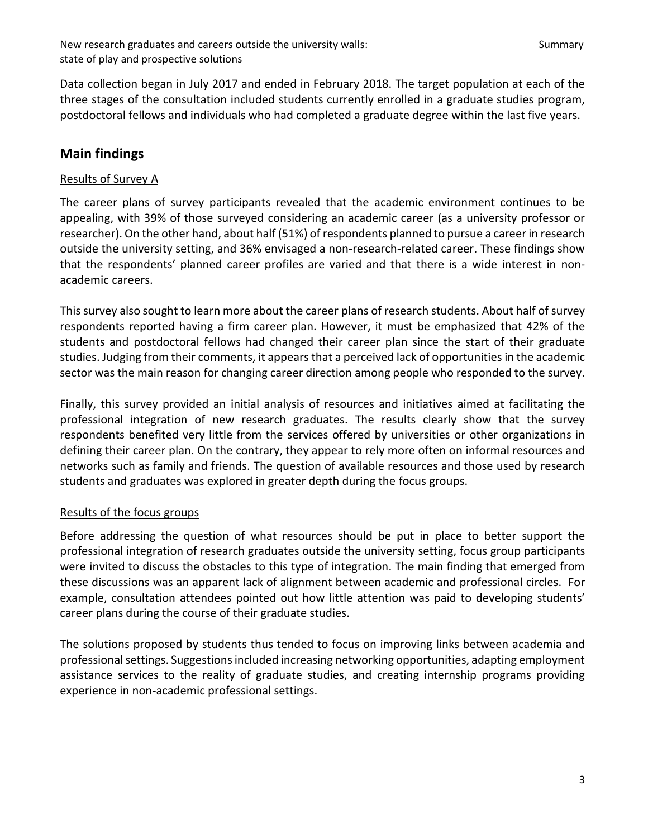Data collection began in July 2017 and ended in February 2018. The target population at each of the three stages of the consultation included students currently enrolled in a graduate studies program, postdoctoral fellows and individuals who had completed a graduate degree within the last five years.

# **Main findings**

#### Results of Survey A

The career plans of survey participants revealed that the academic environment continues to be appealing, with 39% of those surveyed considering an academic career (as a university professor or researcher). On the other hand, about half (51%) of respondents planned to pursue a career in research outside the university setting, and 36% envisaged a non-research-related career. These findings show that the respondents' planned career profiles are varied and that there is a wide interest in nonacademic careers.

This survey also sought to learn more about the career plans of research students. About half of survey respondents reported having a firm career plan. However, it must be emphasized that 42% of the students and postdoctoral fellows had changed their career plan since the start of their graduate studies. Judging from their comments, it appears that a perceived lack of opportunities in the academic sector was the main reason for changing career direction among people who responded to the survey.

Finally, this survey provided an initial analysis of resources and initiatives aimed at facilitating the professional integration of new research graduates. The results clearly show that the survey respondents benefited very little from the services offered by universities or other organizations in defining their career plan. On the contrary, they appear to rely more often on informal resources and networks such as family and friends. The question of available resources and those used by research students and graduates was explored in greater depth during the focus groups.

#### Results of the focus groups

Before addressing the question of what resources should be put in place to better support the professional integration of research graduates outside the university setting, focus group participants were invited to discuss the obstacles to this type of integration. The main finding that emerged from these discussions was an apparent lack of alignment between academic and professional circles. For example, consultation attendees pointed out how little attention was paid to developing students' career plans during the course of their graduate studies.

The solutions proposed by students thus tended to focus on improving links between academia and professional settings. Suggestions included increasing networking opportunities, adapting employment assistance services to the reality of graduate studies, and creating internship programs providing experience in non-academic professional settings.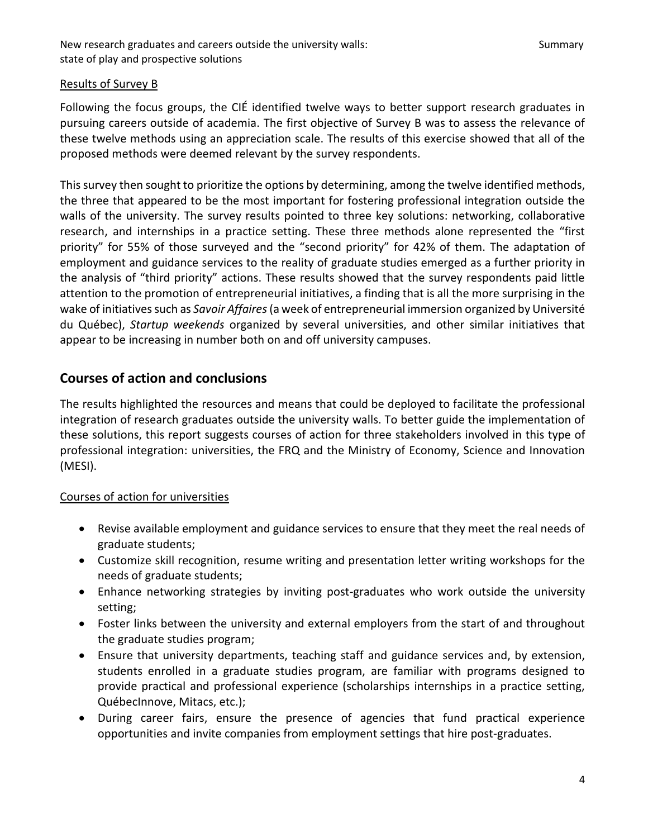#### Results of Survey B

Following the focus groups, the CIÉ identified twelve ways to better support research graduates in pursuing careers outside of academia. The first objective of Survey B was to assess the relevance of these twelve methods using an appreciation scale. The results of this exercise showed that all of the proposed methods were deemed relevant by the survey respondents.

This survey then sought to prioritize the options by determining, among the twelve identified methods, the three that appeared to be the most important for fostering professional integration outside the walls of the university. The survey results pointed to three key solutions: networking, collaborative research, and internships in a practice setting. These three methods alone represented the "first priority" for 55% of those surveyed and the "second priority" for 42% of them. The adaptation of employment and guidance services to the reality of graduate studies emerged as a further priority in the analysis of "third priority" actions. These results showed that the survey respondents paid little attention to the promotion of entrepreneurial initiatives, a finding that is all the more surprising in the wake of initiatives such as *Savoir Affaires*(a week of entrepreneurial immersion organized by Université du Québec), *Startup weekends* organized by several universities, and other similar initiatives that appear to be increasing in number both on and off university campuses.

## **Courses of action and conclusions**

The results highlighted the resources and means that could be deployed to facilitate the professional integration of research graduates outside the university walls. To better guide the implementation of these solutions, this report suggests courses of action for three stakeholders involved in this type of professional integration: universities, the FRQ and the Ministry of Economy, Science and Innovation (MESI).

### Courses of action for universities

- Revise available employment and guidance services to ensure that they meet the real needs of graduate students;
- Customize skill recognition, resume writing and presentation letter writing workshops for the needs of graduate students;
- Enhance networking strategies by inviting post-graduates who work outside the university setting;
- Foster links between the university and external employers from the start of and throughout the graduate studies program;
- Ensure that university departments, teaching staff and guidance services and, by extension, students enrolled in a graduate studies program, are familiar with programs designed to provide practical and professional experience (scholarships internships in a practice setting, QuébecInnove, Mitacs, etc.);
- During career fairs, ensure the presence of agencies that fund practical experience opportunities and invite companies from employment settings that hire post-graduates.